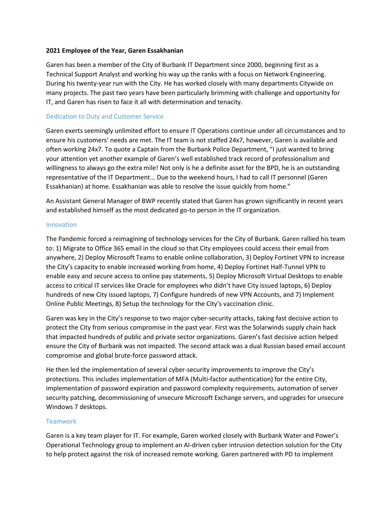### **2021 Employee of the Year, Garen Essakhanian**

Garen has been a member of the City of Burbank IT Department since 2000, beginning first as a Technical Support Analyst and working his way up the ranks with a focus on Network Engineering. During his twenty-year run with the City. He has worked closely with many departments Citywide on many projects. The past two years have been particularly brimming with challenge and opportunity for IT, and Garen has risen to face it all with determination and tenacity.

# Dedication to Duty and Customer Service

Garen exerts seemingly unlimited effort to ensure IT Operations continue under all circumstances and to ensure his customers' needs are met. The IT team is not staffed 24x7, however, Garen is available and often working 24x7. To quote a Captain from the Burbank Police Department, "I just wanted to bring your attention yet another example of Garen's well established track record of professionalism and willingness to always go the extra mile! Not only is he a definite asset for the BPD, he is an outstanding representative of the IT Department... Due to the weekend hours, I had to call IT personnel (Garen Essakhanian) at home. Essakhanian was able to resolve the issue quickly from home."

An Assistant General Manager of BWP recently stated that Garen has grown significantly in recent years and established himself as the most dedicated go-to person in the IT organization.

### Innovation

The Pandemic forced a reimagining of technology services for the City of Burbank. Garen rallied his team to: 1) Migrate to Office 365 email in the cloud so that City employees could access their email from anywhere, 2) Deploy Microsoft Teams to enable online collaboration, 3) Deploy Fortinet VPN to increase the City's capacity to enable increased working from home, 4) Deploy Fortinet Half-Tunnel VPN to enable easy and secure access to online pay statements, 5) Deploy Microsoft Virtual Desktops to enable access to critical IT services like Oracle for employees who didn't have City issued laptops, 6) Deploy hundreds of new City issued laptops, 7) Configure hundreds of new VPN Accounts, and 7) Implement Online Public Meetings, 8) Setup the technology for the City's vaccination clinic.

Garen was key in the City's response to two major cyber-security attacks, taking fast decisive action to protect the City from serious compromise in the past year. First was the Solarwinds supply chain hack that impacted hundreds of public and private sector organizations. Garen's fast decisive action helped ensure the City of Burbank was not impacted. The second attack was a dual Russian based email account compromise and global brute-force password attack.

He then led the implementation of several cyber-security improvements to improve the City's protections. This includes implementation of MFA (Multi-factor authentication) for the entire City, implementation of password expiration and password complexity requirements, automation of server security patching, decommissioning of unsecure Microsoft Exchange servers, and upgrades for unsecure Windows 7 desktops.

# Teamwork

Garen is a key team player for IT. For example, Garen worked closely with Burbank Water and Power's Operational Technology group to implement an AI-driven cyber intrusion detection solution for the City to help protect against the risk of increased remote working. Garen partnered with PD to implement